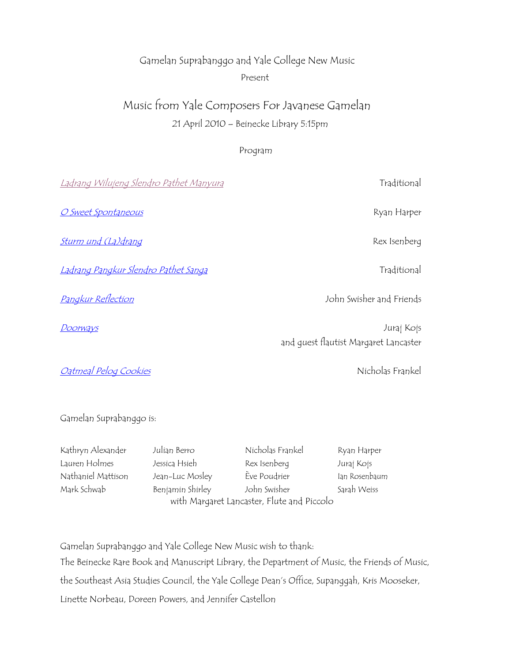## Gamelan Suprabanggo and Yale College New Music Present

# Music from Yale Composers For Javanese Gamelan 21 April 2010 – Beinecke Library 5:15pm

## Program

| <u>Ladrang Wilujeng Slendro Pathet Manyura</u> | Traditional                                         |
|------------------------------------------------|-----------------------------------------------------|
| O Sweet Spontaneous                            | Ryan Harper                                         |
| <u>Sturm und (La)drang</u>                     | Rex Isenberg                                        |
| <u>Ladrang Pangkur Slendro Pathet Sanga</u>    | Traditional                                         |
| Pangkur Reflection                             | John Swisher and Friends                            |
| Doorways                                       | Juraj Kojs<br>and quest flautist Margaret Lancaster |
| <b>Oatmeal Pelog Cookies</b>                   | Nicholas Frankel                                    |
|                                                |                                                     |

Gamelan Suprabanggo is:

| Kathryn Alexander  | Julian Berro                               | Nicholas Frankel | Ryan Harper   |  |
|--------------------|--------------------------------------------|------------------|---------------|--|
| Lauren Holmes      | Jessica Hsieh                              | Rex Isenberg     | Juraj Kojs    |  |
| Nathaniel Mattison | Jean-Luc Mosley                            | Ève Poudrier     | lan Rosenbaum |  |
| Mark Schwab        | Benjamin Shirley                           | John Swisher     | Sarah Weiss   |  |
|                    | with Margaret Lancaster, Flute and Piccolo |                  |               |  |

Gamelan Suprabanggo and Yale College New Music wish to thank: The Beinecke Rare Book and Manuscript Library, the Department of Music, the Friends of Music, the Southeast Asia Studies Council, the Yale College Dean's Office, Supanggah, Kris Mooseker, Linette Norbeau, Doreen Powers, and Jennifer Castellon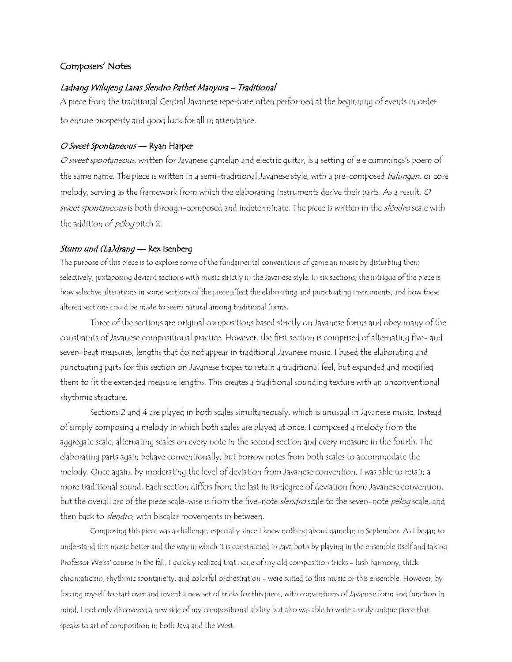## Composers' Notes

#### Ladrang Wilujeng Laras Slendro Pathet Manyura – Traditional

A piece from the traditional Central Javanese repertoire often performed at the beginning of events in order to ensure prosperity and good luck for all in attendance.

#### O Sweet Spontaneous — Ryan Harper

O sweet spontaneous, written for Javanese gamelan and electric guitar, is a setting of e e cummings's poem of the same name. The piece is written in a semi-traditional Javanese style, with a pre-composed balungan, or core melody, serving as the framework from which the elaborating instruments derive their parts. As a result,  $O$ sweet spontaneous is both through-composed and indeterminate. The piece is written in the sléndro scale with the addition of *pélog* pitch 2.

#### Sturm und (La)drang - Rex Isenberg

The purpose of this piece is to explore some of the fundamental conventions of gamelan music by disturbing them selectively, juxtaposing deviant sections with music strictly in the Javanese style. In six sections, the intrigue of the piece is how selective alterations in some sections of the piece affect the elaborating and punctuating instruments, and how these altered sections could be made to seem natural among traditional forms.

Three of the sections are original compositions based strictly on Javanese forms and obey many of the constraints of Javanese compositional practice. However, the first section is comprised of alternating five- and seven-beat measures, lengths that do not appear in traditional Javanese music. I based the elaborating and punctuating parts for this section on Javanese tropes to retain a traditional feel, but expanded and modified them to fit the extended measure lengths. This creates a traditional sounding texture with an unconventional rhythmic structure.

Sections 2 and 4 are played in both scales simultaneously, which is unusual in Javanese music. Instead of simply composing a melody in which both scales are played at once, I composed a melody from the aggregate scale, alternating scales on every note in the second section and every measure in the fourth. The elaborating parts again behave conventionally, but borrow notes from both scales to accommodate the melody. Once again, by moderating the level of deviation from Javanese convention, I was able to retain a more traditional sound. Each section differs from the last in its degree of deviation from Javanese convention, but the overall arc of the piece scale-wise is from the five-note slendro scale to the seven-note pélog scale, and then back to *slendro*, with biscalar movements in between.

Composing this piece was a challenge, especially since I knew nothing about gamelan in September. As I began to understand this music better and the way in which it is constructed in Java both by playing in the ensemble itself and taking Professor Weiss' course in the fall, I quickly realized that none of my old composition tricks - lush harmony, thick chromaticism, rhythmic spontaneity, and colorful orchestration - were suited to this music or this ensemble. However, by forcing myself to start over and invent a new set of tricks for this piece, with conventions of Javanese form and function in mind, I not only discovered a new side of my compositional ability but also was able to write a truly unique piece that speaks to art of composition in both Java and the West.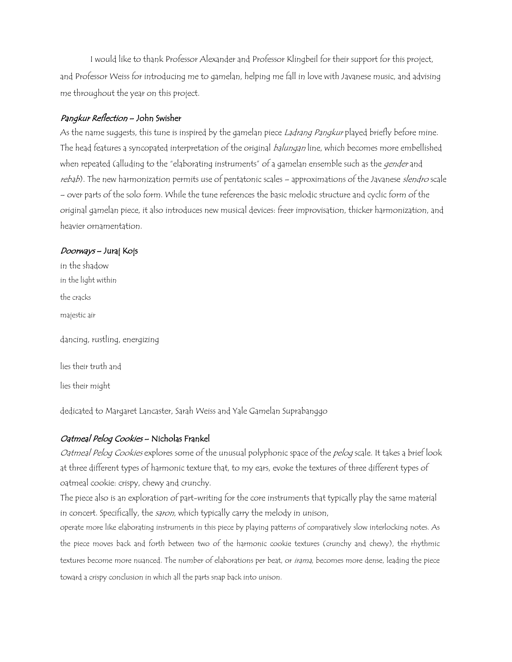I would like to thank Professor Alexander and Professor Klingbeil for their support for this project, and Professor Weiss for introducing me to gamelan, helping me fall in love with Javanese music, and advising me throughout the year on this project.

### Pangkur Reflection – John Swisher

As the name suggests, this tune is inspired by the gamelan piece Ladrang Pangkur played briefly before mine. The head features a syncopated interpretation of the original balungan line, which becomes more embellished when repeated (alluding to the "elaborating instruments" of a gamelan ensemble such as the *gender* and rebab). The new harmonization permits use of pentatonic scales - approximations of the Javanese slendro scale – over parts of the solo form. While the tune references the basic melodic structure and cyclic form of the original gamelan piece, it also introduces new musical devices: freer improvisation, thicker harmonization, and heavier ornamentation.

#### Doorways – Juraj Kojs

in the shadow in the light within the cracks majestic air dancing, rustling, energizing lies their truth and lies their might

dedicated to Margaret Lancaster, Sarah Weiss and Yale Gamelan Suprabanggo

#### Oatmeal Pelog Cookies – Nicholas Frankel

Oatmeal Pelog Cookies explores some of the unusual polyphonic space of the pelog scale. It takes a brief look at three different types of harmonic texture that, to my ears, evoke the textures of three different types of oatmeal cookie: crispy, chewy and crunchy.

The piece also is an exploration of part-writing for the core instruments that typically play the same material in concert. Specifically, the saron, which typically carry the melody in unison,

operate more like elaborating instruments in this piece by playing patterns of comparatively slow interlocking notes. As the piece moves back and forth between two of the harmonic cookie textures (crunchy and chewy), the rhythmic textures become more nuanced. The number of elaborations per beat, or irama, becomes more dense, leading the piece toward a crispy conclusion in which all the parts snap back into unison.